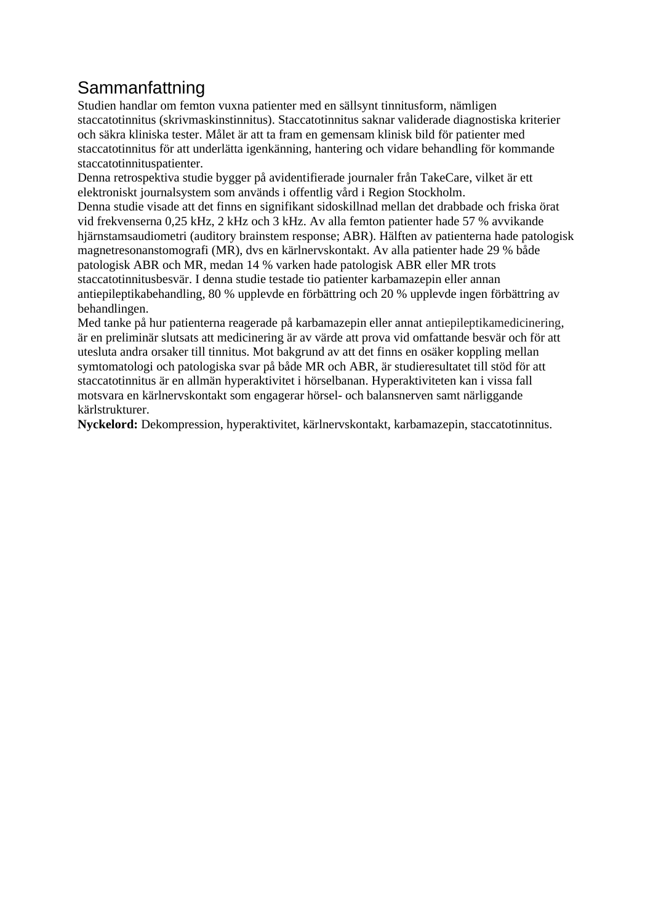## Sammanfattning

Studien handlar om femton vuxna patienter med en sällsynt tinnitusform, nämligen staccatotinnitus (skrivmaskinstinnitus). Staccatotinnitus saknar validerade diagnostiska kriterier och säkra kliniska tester. Målet är att ta fram en gemensam klinisk bild för patienter med staccatotinnitus för att underlätta igenkänning, hantering och vidare behandling för kommande staccatotinnituspatienter.

Denna retrospektiva studie bygger på avidentifierade journaler från TakeCare, vilket är ett elektroniskt journalsystem som används i offentlig vård i Region Stockholm.

Denna studie visade att det finns en signifikant sidoskillnad mellan det drabbade och friska örat vid frekvenserna 0,25 kHz, 2 kHz och 3 kHz. Av alla femton patienter hade 57 % avvikande hjärnstamsaudiometri (auditory brainstem response; ABR). Hälften av patienterna hade patologisk magnetresonanstomografi (MR), dvs en kärlnervskontakt. Av alla patienter hade 29 % både patologisk ABR och MR, medan 14 % varken hade patologisk ABR eller MR trots staccatotinnitusbesvär. I denna studie testade tio patienter karbamazepin eller annan antiepileptikabehandling, 80 % upplevde en förbättring och 20 % upplevde ingen förbättring av behandlingen.

Med tanke på hur patienterna reagerade på karbamazepin eller annat antiepileptikamedicinering, är en preliminär slutsats att medicinering är av värde att prova vid omfattande besvär och för att utesluta andra orsaker till tinnitus. Mot bakgrund av att det finns en osäker koppling mellan symtomatologi och patologiska svar på både MR och ABR, är studieresultatet till stöd för att staccatotinnitus är en allmän hyperaktivitet i hörselbanan. Hyperaktiviteten kan i vissa fall motsvara en kärlnervskontakt som engagerar hörsel- och balansnerven samt närliggande kärlstrukturer.

**Nyckelord:** Dekompression, hyperaktivitet, kärlnervskontakt, karbamazepin, staccatotinnitus.